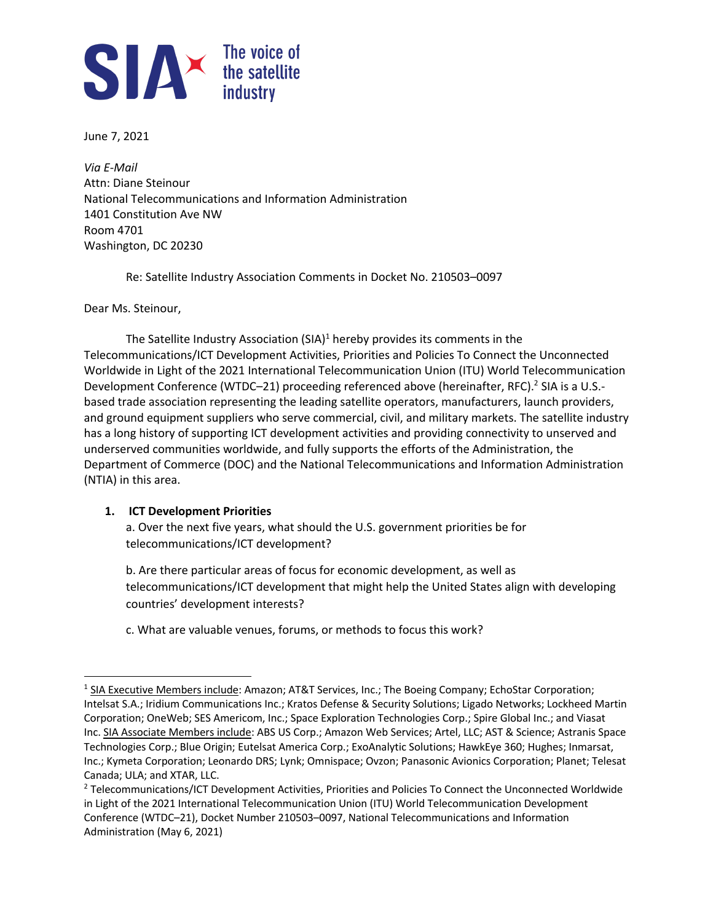

June 7, 2021

*Via E-Mail* Attn: Diane Steinour National Telecommunications and Information Administration 1401 Constitution Ave NW Room 4701 Washington, DC 20230

Re: Satellite Industry Association Comments in Docket No. 210503–0097

Dear Ms. Steinour,

The Satellite Industry Association (SIA) $1$  hereby provides its comments in the Telecommunications/ICT Development Activities, Priorities and Policies To Connect the Unconnected Worldwide in Light of the 2021 International Telecommunication Union (ITU) World Telecommunication Development Conference (WTDC-21) proceeding referenced above (hereinafter, RFC).<sup>2</sup> SIA is a U.S.based trade association representing the leading satellite operators, manufacturers, launch providers, and ground equipment suppliers who serve commercial, civil, and military markets. The satellite industry has a long history of supporting ICT development activities and providing connectivity to unserved and underserved communities worldwide, and fully supports the efforts of the Administration, the Department of Commerce (DOC) and the National Telecommunications and Information Administration (NTIA) in this area.

## **1. ICT Development Priorities**

a. Over the next five years, what should the U.S. government priorities be for telecommunications/ICT development?

b. Are there particular areas of focus for economic development, as well as telecommunications/ICT development that might help the United States align with developing countries' development interests?

c. What are valuable venues, forums, or methods to focus this work?

<sup>&</sup>lt;sup>1</sup> SIA Executive Members include: Amazon; AT&T Services, Inc.; The Boeing Company; EchoStar Corporation; Intelsat S.A.; Iridium Communications Inc.; Kratos Defense & Security Solutions; Ligado Networks; Lockheed Martin Corporation; OneWeb; SES Americom, Inc.; Space Exploration Technologies Corp.; Spire Global Inc.; and Viasat Inc. SIA Associate Members include: ABS US Corp.; Amazon Web Services; Artel, LLC; AST & Science; Astranis Space Technologies Corp.; Blue Origin; Eutelsat America Corp.; ExoAnalytic Solutions; HawkEye 360; Hughes; Inmarsat, Inc.; Kymeta Corporation; Leonardo DRS; Lynk; Omnispace; Ovzon; Panasonic Avionics Corporation; Planet; Telesat Canada; ULA; and XTAR, LLC.

<sup>2</sup> Telecommunications/ICT Development Activities, Priorities and Policies To Connect the Unconnected Worldwide in Light of the 2021 International Telecommunication Union (ITU) World Telecommunication Development Conference (WTDC–21), Docket Number 210503–0097, National Telecommunications and Information Administration (May 6, 2021)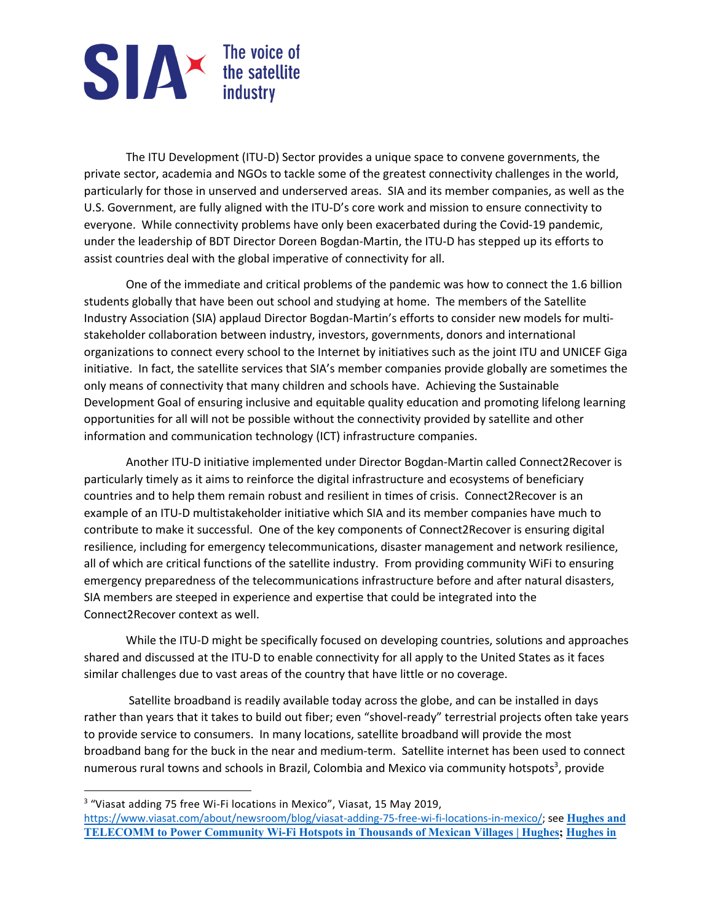## SIA The voice of<br>the satellite<br>industry

The ITU Development (ITU-D) Sector provides a unique space to convene governments, the private sector, academia and NGOs to tackle some of the greatest connectivity challenges in the world, particularly for those in unserved and underserved areas. SIA and its member companies, as well as the U.S. Government, are fully aligned with the ITU-D's core work and mission to ensure connectivity to everyone. While connectivity problems have only been exacerbated during the Covid-19 pandemic, under the leadership of BDT Director Doreen Bogdan-Martin, the ITU-D has stepped up its efforts to assist countries deal with the global imperative of connectivity for all.

One of the immediate and critical problems of the pandemic was how to connect the 1.6 billion students globally that have been out school and studying at home. The members of the Satellite Industry Association (SIA) applaud Director Bogdan-Martin's efforts to consider new models for multistakeholder collaboration between industry, investors, governments, donors and international organizations to connect every school to the Internet by initiatives such as the joint ITU and UNICEF Giga initiative. In fact, the satellite services that SIA's member companies provide globally are sometimes the only means of connectivity that many children and schools have. Achieving the Sustainable Development Goal of ensuring inclusive and equitable quality education and promoting lifelong learning opportunities for all will not be possible without the connectivity provided by satellite and other information and communication technology (ICT) infrastructure companies.

Another ITU-D initiative implemented under Director Bogdan-Martin called Connect2Recover is particularly timely as it aims to reinforce the digital infrastructure and ecosystems of beneficiary countries and to help them remain robust and resilient in times of crisis. Connect2Recover is an example of an ITU-D multistakeholder initiative which SIA and its member companies have much to contribute to make it successful. One of the key components of Connect2Recover is ensuring digital resilience, including for emergency telecommunications, disaster management and network resilience, all of which are critical functions of the satellite industry. From providing community WiFi to ensuring emergency preparedness of the telecommunications infrastructure before and after natural disasters, SIA members are steeped in experience and expertise that could be integrated into the Connect2Recover context as well.

While the ITU-D might be specifically focused on developing countries, solutions and approaches shared and discussed at the ITU-D to enable connectivity for all apply to the United States as it faces similar challenges due to vast areas of the country that have little or no coverage.

Satellite broadband is readily available today across the globe, and can be installed in days rather than years that it takes to build out fiber; even "shovel-ready" terrestrial projects often take years to provide service to consumers. In many locations, satellite broadband will provide the most broadband bang for the buck in the near and medium-term. Satellite internet has been used to connect numerous rural towns and schools in Brazil, Colombia and Mexico via community hotspots<sup>3</sup>, provide

<sup>3</sup> "Viasat adding 75 free Wi-Fi locations in Mexico", Viasat, 15 May 2019, https://www.viasat.com/about/newsroom/blog/viasat-adding-75-free-wi-fi-locations-in-mexico/; see **Hughes and TELECOMM to Power Community Wi-Fi Hotspots in Thousands of Mexican Villages | Hughes; Hughes in**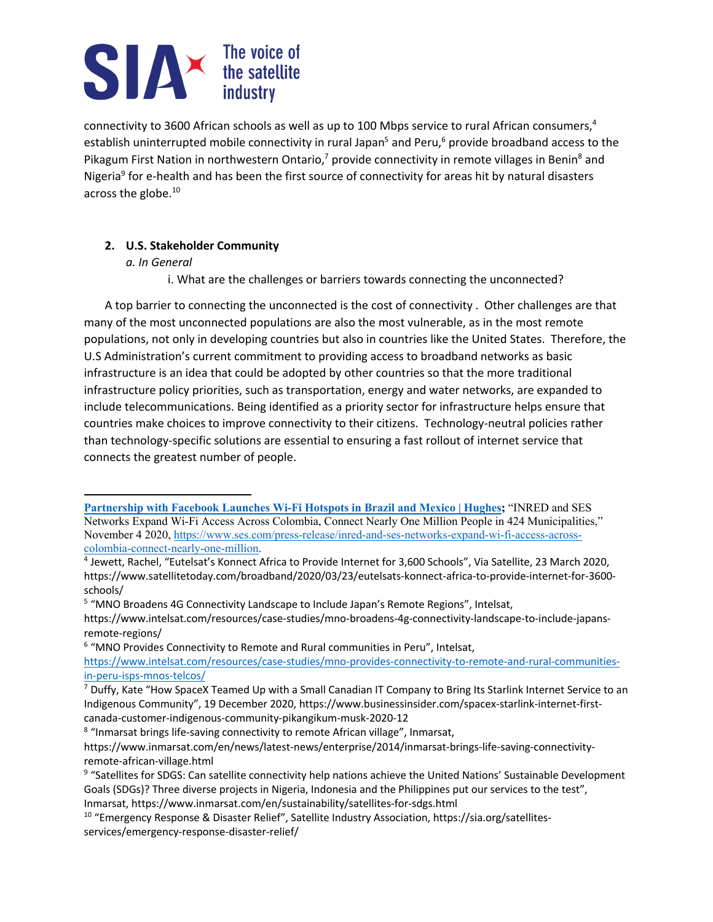# SIA The voice of<br>the satellite<br>industry

connectivity to 3600 African schools as well as up to 100 Mbps service to rural African consumers,4 establish uninterrupted mobile connectivity in rural Japan<sup>5</sup> and Peru,<sup>6</sup> provide broadband access to the Pikagum First Nation in northwestern Ontario,<sup>7</sup> provide connectivity in remote villages in Benin<sup>8</sup> and Nigeria<sup>9</sup> for e-health and has been the first source of connectivity for areas hit by natural disasters across the globe.10

## **2. U.S. Stakeholder Community**

### *a. In General*

i. What are the challenges or barriers towards connecting the unconnected?

A top barrier to connecting the unconnected is the cost of connectivity . Other challenges are that many of the most unconnected populations are also the most vulnerable, as in the most remote populations, not only in developing countries but also in countries like the United States. Therefore, the U.S Administration's current commitment to providing access to broadband networks as basic infrastructure is an idea that could be adopted by other countries so that the more traditional infrastructure policy priorities, such as transportation, energy and water networks, are expanded to include telecommunications. Being identified as a priority sector for infrastructure helps ensure that countries make choices to improve connectivity to their citizens. Technology-neutral policies rather than technology-specific solutions are essential to ensuring a fast rollout of internet service that connects the greatest number of people.

<sup>6</sup> "MNO Provides Connectivity to Remote and Rural communities in Peru", Intelsat,

**Partnership with Facebook Launches Wi-Fi Hotspots in Brazil and Mexico | Hughes;** "INRED and SES Networks Expand Wi-Fi Access Across Colombia, Connect Nearly One Million People in 424 Municipalities," November 4 2020, https://www.ses.com/press-release/inred-and-ses-networks-expand-wi-fi-access-acrosscolombia-connect-nearly-one-million.

<sup>4</sup> Jewett, Rachel, "Eutelsat's Konnect Africa to Provide Internet for 3,600 Schools", Via Satellite, 23 March 2020, https://www.satellitetoday.com/broadband/2020/03/23/eutelsats-konnect-africa-to-provide-internet-for-3600 schools/

<sup>5</sup> "MNO Broadens 4G Connectivity Landscape to Include Japan's Remote Regions", Intelsat,

https://www.intelsat.com/resources/case-studies/mno-broadens-4g-connectivity-landscape-to-include-japansremote-regions/

https://www.intelsat.com/resources/case-studies/mno-provides-connectivity-to-remote-and-rural-communitiesin-peru-isps-mnos-telcos/

<sup>&</sup>lt;sup>7</sup> Duffy, Kate "How SpaceX Teamed Up with a Small Canadian IT Company to Bring Its Starlink Internet Service to an Indigenous Community", 19 December 2020, https://www.businessinsider.com/spacex-starlink-internet-firstcanada-customer-indigenous-community-pikangikum-musk-2020-12

<sup>&</sup>lt;sup>8</sup> "Inmarsat brings life-saving connectivity to remote African village", Inmarsat,

https://www.inmarsat.com/en/news/latest-news/enterprise/2014/inmarsat-brings-life-saving-connectivityremote-african-village.html

<sup>&</sup>lt;sup>9</sup> "Satellites for SDGS: Can satellite connectivity help nations achieve the United Nations' Sustainable Development Goals (SDGs)? Three diverse projects in Nigeria, Indonesia and the Philippines put our services to the test", Inmarsat, https://www.inmarsat.com/en/sustainability/satellites-for-sdgs.html

<sup>&</sup>lt;sup>10</sup> "Emergency Response & Disaster Relief", Satellite Industry Association, https://sia.org/satellitesservices/emergency-response-disaster-relief/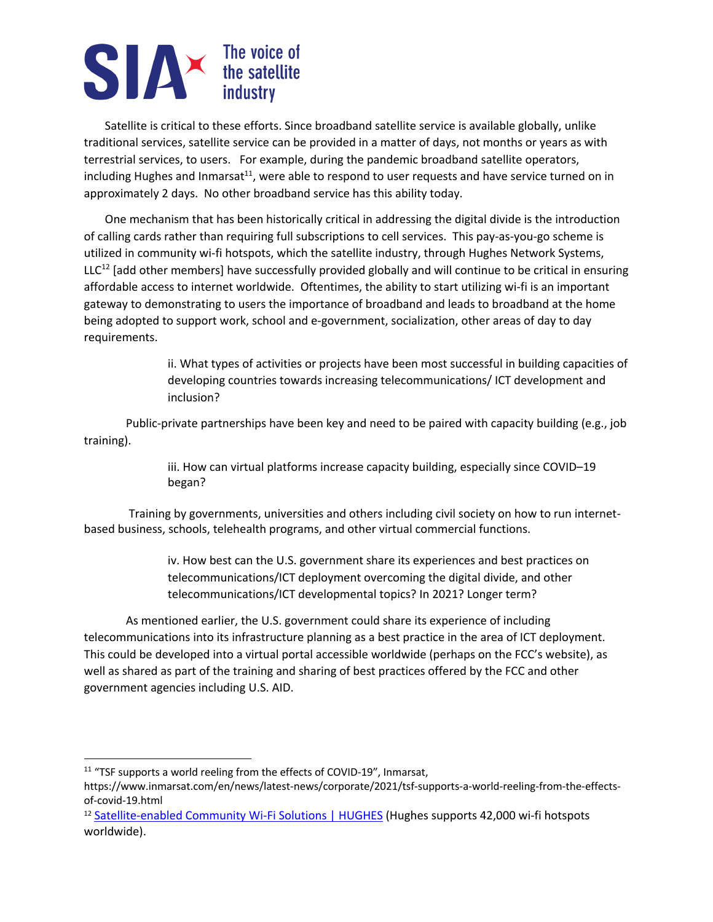# SIA The voice of<br>the satellite<br>industry

Satellite is critical to these efforts. Since broadband satellite service is available globally, unlike traditional services, satellite service can be provided in a matter of days, not months or years as with terrestrial services, to users. For example, during the pandemic broadband satellite operators, including Hughes and Inmarsat<sup>11</sup>, were able to respond to user requests and have service turned on in approximately 2 days. No other broadband service has this ability today.

One mechanism that has been historically critical in addressing the digital divide is the introduction of calling cards rather than requiring full subscriptions to cell services. This pay-as-you-go scheme is utilized in community wi-fi hotspots, which the satellite industry, through Hughes Network Systems,  $LLC<sup>12</sup>$  [add other members] have successfully provided globally and will continue to be critical in ensuring affordable access to internet worldwide. Oftentimes, the ability to start utilizing wi-fi is an important gateway to demonstrating to users the importance of broadband and leads to broadband at the home being adopted to support work, school and e-government, socialization, other areas of day to day requirements.

> ii. What types of activities or projects have been most successful in building capacities of developing countries towards increasing telecommunications/ ICT development and inclusion?

Public-private partnerships have been key and need to be paired with capacity building (e.g., job training).

> iii. How can virtual platforms increase capacity building, especially since COVID–19 began?

Training by governments, universities and others including civil society on how to run internetbased business, schools, telehealth programs, and other virtual commercial functions.

> iv. How best can the U.S. government share its experiences and best practices on telecommunications/ICT deployment overcoming the digital divide, and other telecommunications/ICT developmental topics? In 2021? Longer term?

As mentioned earlier, the U.S. government could share its experience of including telecommunications into its infrastructure planning as a best practice in the area of ICT deployment. This could be developed into a virtual portal accessible worldwide (perhaps on the FCC's website), as well as shared as part of the training and sharing of best practices offered by the FCC and other government agencies including U.S. AID.

<sup>&</sup>lt;sup>11</sup> "TSF supports a world reeling from the effects of COVID-19", Inmarsat,

https://www.inmarsat.com/en/news/latest-news/corporate/2021/tsf-supports-a-world-reeling-from-the-effectsof-covid-19.html

<sup>&</sup>lt;sup>12</sup> Satellite-enabled Community Wi-Fi Solutions | HUGHES (Hughes supports 42,000 wi-fi hotspots worldwide).